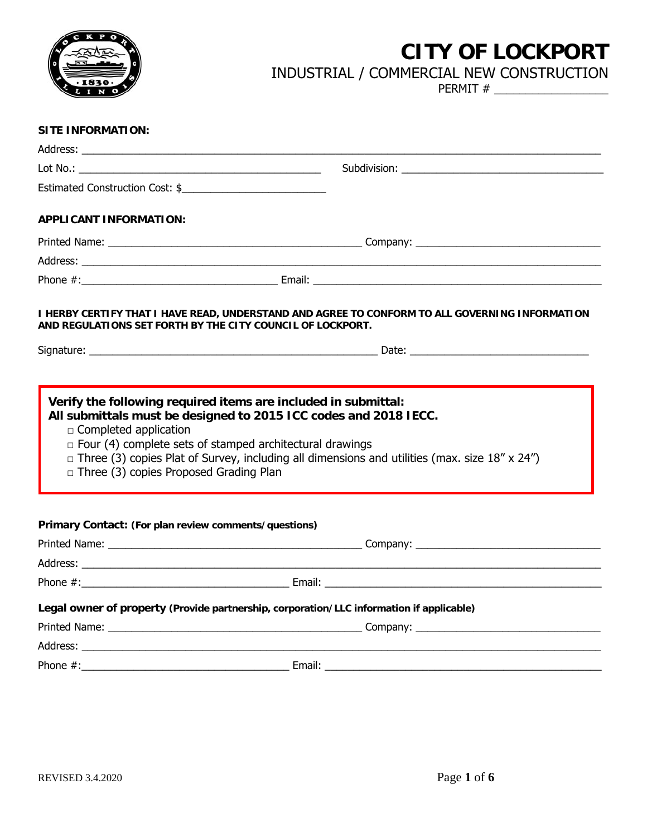

# **CITY OF LOCKPORT**

## INDUSTRIAL / COMMERCIAL NEW CONSTRUCTION

PERMIT # \_\_\_\_\_\_\_\_\_\_\_\_\_\_\_\_\_\_

| <b>SITE INFORMATION:</b>                                                      |                                                                                                                                                                                                                                             |  |
|-------------------------------------------------------------------------------|---------------------------------------------------------------------------------------------------------------------------------------------------------------------------------------------------------------------------------------------|--|
|                                                                               |                                                                                                                                                                                                                                             |  |
|                                                                               |                                                                                                                                                                                                                                             |  |
| Estimated Construction Cost: \$                                               |                                                                                                                                                                                                                                             |  |
| <b>APPLICANT INFORMATION:</b>                                                 |                                                                                                                                                                                                                                             |  |
|                                                                               |                                                                                                                                                                                                                                             |  |
|                                                                               |                                                                                                                                                                                                                                             |  |
|                                                                               |                                                                                                                                                                                                                                             |  |
|                                                                               | I HERBY CERTIFY THAT I HAVE READ, UNDERSTAND AND AGREE TO CONFORM TO ALL GOVERNING INFORMATION<br>AND REGULATIONS SET FORTH BY THE CITY COUNCIL OF LOCKPORT.                                                                                |  |
|                                                                               |                                                                                                                                                                                                                                             |  |
| $\Box$ Completed application<br>$\Box$ Three (3) copies Proposed Grading Plan | All submittals must be designed to 2015 ICC codes and 2018 IECC.<br>$\Box$ Four (4) complete sets of stamped architectural drawings<br>$\Box$ Three (3) copies Plat of Survey, including all dimensions and utilities (max. size 18" x 24") |  |
| Primary Contact: (For plan review comments/questions)                         |                                                                                                                                                                                                                                             |  |
|                                                                               |                                                                                                                                                                                                                                             |  |
|                                                                               |                                                                                                                                                                                                                                             |  |
|                                                                               | Legal owner of property (Provide partnership, corporation/LLC information if applicable)                                                                                                                                                    |  |
|                                                                               |                                                                                                                                                                                                                                             |  |
|                                                                               |                                                                                                                                                                                                                                             |  |
|                                                                               |                                                                                                                                                                                                                                             |  |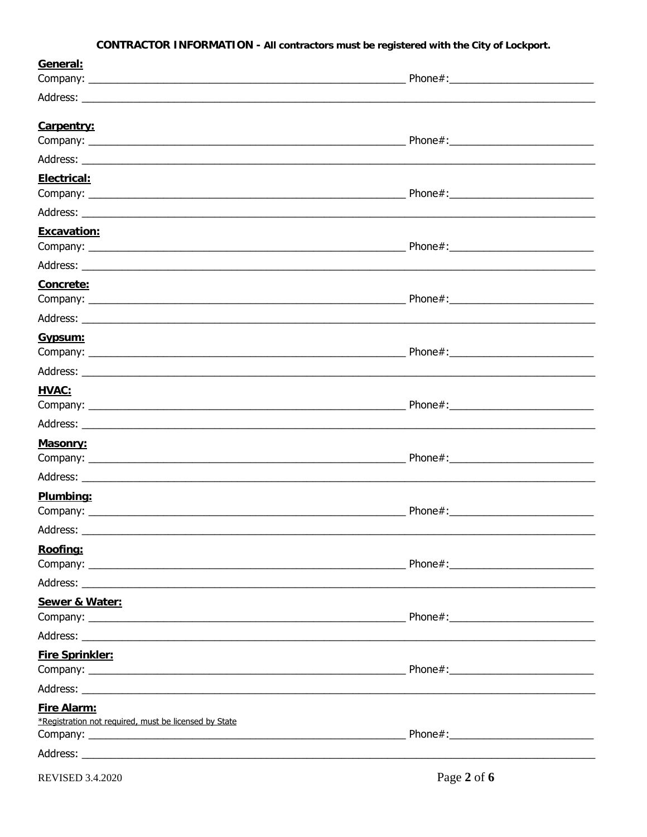#### CONTRACTOR INFORMATION - All contractors must be registered with the City of Lockport.

| <u>General:</u>                                                      |  |
|----------------------------------------------------------------------|--|
|                                                                      |  |
|                                                                      |  |
| Carpentry:                                                           |  |
|                                                                      |  |
|                                                                      |  |
| Electrical:                                                          |  |
|                                                                      |  |
|                                                                      |  |
| Excavation:                                                          |  |
|                                                                      |  |
|                                                                      |  |
| Concrete:                                                            |  |
|                                                                      |  |
|                                                                      |  |
| Gypsum:                                                              |  |
|                                                                      |  |
|                                                                      |  |
| HVAC:                                                                |  |
|                                                                      |  |
|                                                                      |  |
| Masonry:                                                             |  |
|                                                                      |  |
|                                                                      |  |
| Plumbing:                                                            |  |
|                                                                      |  |
|                                                                      |  |
| Roofing:                                                             |  |
|                                                                      |  |
|                                                                      |  |
| Sewer & Water:                                                       |  |
|                                                                      |  |
|                                                                      |  |
| <b>Fire Sprinkler:</b>                                               |  |
|                                                                      |  |
|                                                                      |  |
| Fire Alarm:<br>*Registration not required, must be licensed by State |  |
|                                                                      |  |
|                                                                      |  |
|                                                                      |  |

**REVISED 3.4.2020**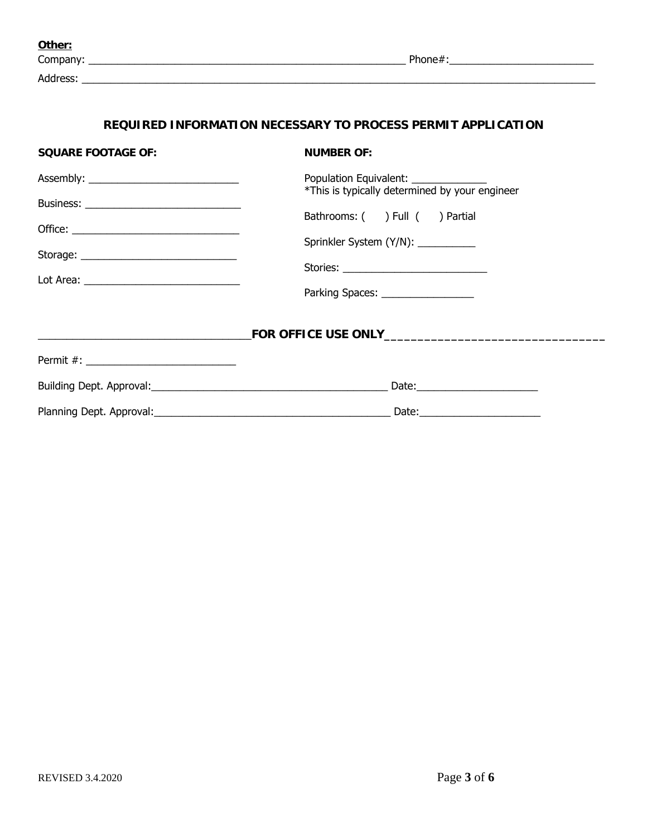| Other:   |         |
|----------|---------|
| Company: | Phone#: |
| Address: |         |

#### **REQUIRED INFORMATION NECESSARY TO PROCESS PERMIT APPLICATION**

| <b>SQUARE FOOTAGE OF:</b>                 | <b>NUMBER OF:</b>                                                                       |
|-------------------------------------------|-----------------------------------------------------------------------------------------|
|                                           | Population Equivalent: ______________<br>*This is typically determined by your engineer |
|                                           |                                                                                         |
|                                           | Bathrooms: ( ) Full ( ) Partial                                                         |
|                                           | Sprinkler System (Y/N): __________                                                      |
| Storage: ________________________________ |                                                                                         |
|                                           |                                                                                         |
|                                           | Parking Spaces: _________________                                                       |
|                                           |                                                                                         |
|                                           |                                                                                         |
|                                           |                                                                                         |
|                                           | Date: ___________________________                                                       |
|                                           |                                                                                         |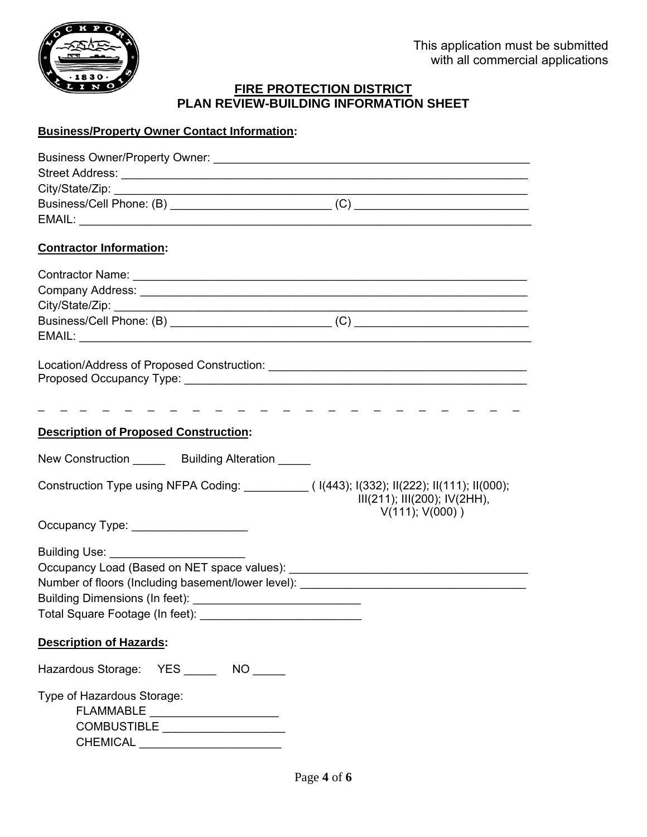

#### **FIRE PROTECTION DISTRICT PLAN REVIEW-BUILDING INFORMATION SHEET**

#### **Business/Property Owner Contact Information:**

| <b>Contractor Information:</b>                                                                                                                                                                                                                                          |
|-------------------------------------------------------------------------------------------------------------------------------------------------------------------------------------------------------------------------------------------------------------------------|
|                                                                                                                                                                                                                                                                         |
|                                                                                                                                                                                                                                                                         |
|                                                                                                                                                                                                                                                                         |
|                                                                                                                                                                                                                                                                         |
|                                                                                                                                                                                                                                                                         |
|                                                                                                                                                                                                                                                                         |
|                                                                                                                                                                                                                                                                         |
|                                                                                                                                                                                                                                                                         |
|                                                                                                                                                                                                                                                                         |
| <b>Description of Proposed Construction:</b>                                                                                                                                                                                                                            |
| New Construction _______ Building Alteration _____                                                                                                                                                                                                                      |
| Construction Type using NFPA Coding: __________( I(443); I(332); II(222); II(111); II(000);<br>III(211); III(200); IV(2HH),                                                                                                                                             |
| $V(111); V(000)$ )<br>Occupancy Type: ___________________                                                                                                                                                                                                               |
|                                                                                                                                                                                                                                                                         |
|                                                                                                                                                                                                                                                                         |
| Number of floors (Including basement/lower level): ______________________________                                                                                                                                                                                       |
|                                                                                                                                                                                                                                                                         |
| Total Square Footage (In feet):<br><u> Andreas Andreas Andreas Andreas Andreas Andreas Andreas Andreas Andreas Andreas Andreas Andreas Andreas Andreas Andreas Andreas Andreas Andreas Andreas Andreas Andreas Andreas Andreas Andreas Andreas Andreas Andreas Andr</u> |
| <b>Description of Hazards:</b>                                                                                                                                                                                                                                          |
| Hazardous Storage: YES _______ NO _____                                                                                                                                                                                                                                 |
| Type of Hazardous Storage:                                                                                                                                                                                                                                              |
| $\begin{tabular}{c} \bf FLAMMABLE & \underline{\color{red}} \end{tabular}$                                                                                                                                                                                              |
| COMBUSTIBLE ___________________                                                                                                                                                                                                                                         |
| CHEMICAL ________________________                                                                                                                                                                                                                                       |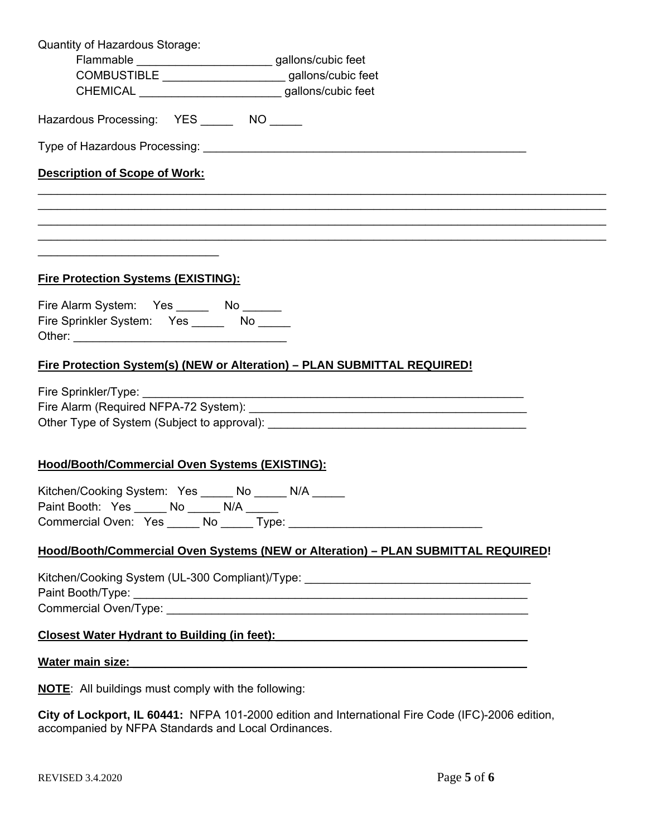| Quantity of Hazardous Storage:                                                                                                                                                                                                                                                               |                                                                                           |
|----------------------------------------------------------------------------------------------------------------------------------------------------------------------------------------------------------------------------------------------------------------------------------------------|-------------------------------------------------------------------------------------------|
| Flammable ___________________________gallons/cubic feet                                                                                                                                                                                                                                      |                                                                                           |
| COMBUSTIBLE ________________________gallons/cubic feet                                                                                                                                                                                                                                       |                                                                                           |
| CHEMICAL ____________________________gallons/cubic feet                                                                                                                                                                                                                                      |                                                                                           |
| Hazardous Processing: YES NO NO                                                                                                                                                                                                                                                              |                                                                                           |
|                                                                                                                                                                                                                                                                                              |                                                                                           |
| <b>Description of Scope of Work:</b>                                                                                                                                                                                                                                                         |                                                                                           |
|                                                                                                                                                                                                                                                                                              |                                                                                           |
|                                                                                                                                                                                                                                                                                              |                                                                                           |
| <u> 1989 - Johann Stoff, amerikansk politiker (d. 1989)</u><br>the control of the control of the control of the control of the control of the control of the control of the control of the control of the control of the control of the control of the control of the control of the control |                                                                                           |
| <b>Fire Protection Systems (EXISTING):</b>                                                                                                                                                                                                                                                   |                                                                                           |
| Fire Alarm System: Yes _______ No _______                                                                                                                                                                                                                                                    |                                                                                           |
| Fire Sprinkler System: Yes _______ No _____                                                                                                                                                                                                                                                  |                                                                                           |
| Fire Protection System(s) (NEW or Alteration) - PLAN SUBMITTAL REQUIRED!                                                                                                                                                                                                                     |                                                                                           |
|                                                                                                                                                                                                                                                                                              |                                                                                           |
|                                                                                                                                                                                                                                                                                              |                                                                                           |
|                                                                                                                                                                                                                                                                                              |                                                                                           |
|                                                                                                                                                                                                                                                                                              |                                                                                           |
| Hood/Booth/Commercial Oven Systems (EXISTING):                                                                                                                                                                                                                                               |                                                                                           |
| Kitchen/Cooking System: Yes _____ No _____ N/A _____                                                                                                                                                                                                                                         |                                                                                           |
| Paint Booth: Yes ______ No ______ N/A _____                                                                                                                                                                                                                                                  |                                                                                           |
|                                                                                                                                                                                                                                                                                              |                                                                                           |
|                                                                                                                                                                                                                                                                                              | Hood/Booth/Commercial Oven Systems (NEW or Alteration) - PLAN SUBMITTAL REQUIRED!         |
|                                                                                                                                                                                                                                                                                              | Kitchen/Cooking System (UL-300 Compliant)/Type: ________________________________          |
|                                                                                                                                                                                                                                                                                              |                                                                                           |
|                                                                                                                                                                                                                                                                                              |                                                                                           |
|                                                                                                                                                                                                                                                                                              | Closest Water Hydrant to Building (in feet): Closest Water Hydrant to Building (in feet): |
| <u>Water main size: et al. and the second state of the second state of the second state of the second state of the second state of the second state of the second state of the second state of the second state of the second st</u>                                                         |                                                                                           |
| <b>NOTE:</b> All buildings must comply with the following:                                                                                                                                                                                                                                   |                                                                                           |

**City of Lockport, IL 60441:** NFPA 101-2000 edition and International Fire Code (IFC)-2006 edition, accompanied by NFPA Standards and Local Ordinances.